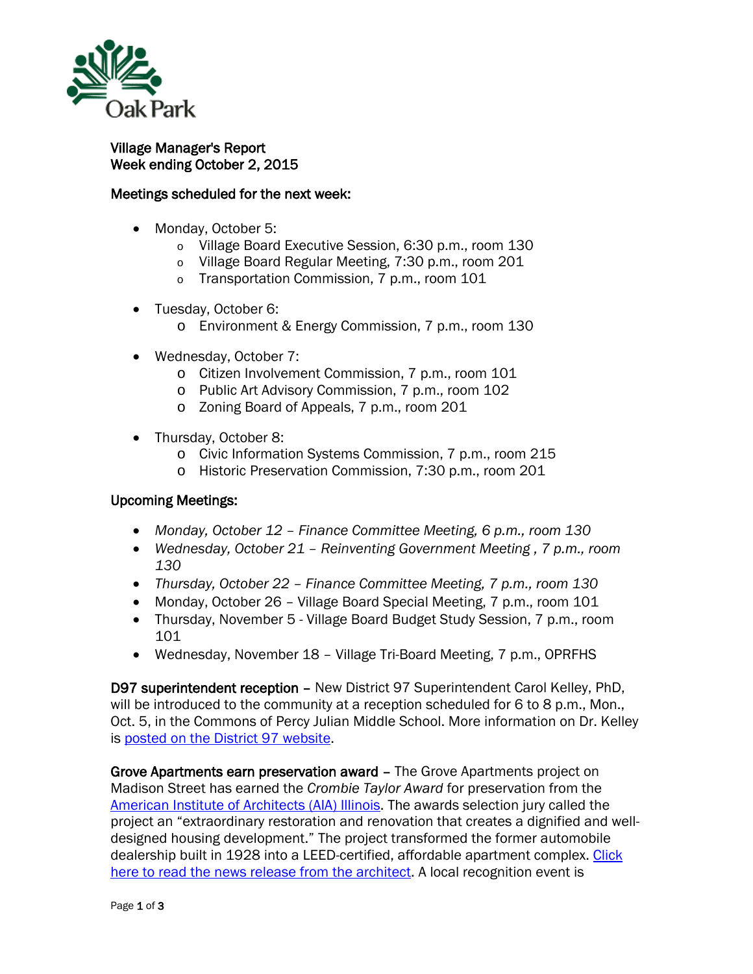

## Village Manager's Report Week ending October 2, 2015

## Meetings scheduled for the next week:

- Monday, October 5:
	- o Village Board Executive Session, 6:30 p.m., room 130
	- o Village Board Regular Meeting, 7:30 p.m., room 201
	- o Transportation Commission, 7 p.m., room 101
- Tuesday, October 6:
	- o Environment & Energy Commission, 7 p.m., room 130
- Wednesday, October 7:
	- o Citizen Involvement Commission, 7 p.m., room 101
	- o Public Art Advisory Commission, 7 p.m., room 102
	- o Zoning Board of Appeals, 7 p.m., room 201
- Thursday, October 8:
	- o Civic Information Systems Commission, 7 p.m., room 215
	- o Historic Preservation Commission, 7:30 p.m., room 201

## Upcoming Meetings:

- *Monday, October 12 – Finance Committee Meeting, 6 p.m., room 130*
- *Wednesday, October 21 – Reinventing Government Meeting , 7 p.m., room 130*
- *Thursday, October 22 – Finance Committee Meeting, 7 p.m., room 130*
- Monday, October 26 Village Board Special Meeting, 7 p.m., room 101
- Thursday, November 5 Village Board Budget Study Session, 7 p.m., room 101
- Wednesday, November 18 Village Tri-Board Meeting, 7 p.m., OPRFHS

D97 superintendent reception – New District 97 Superintendent Carol Kelley, PhD, will be introduced to the community at a reception scheduled for 6 to 8 p.m., Mon., Oct. 5, in the Commons of Percy Julian Middle School. More information on Dr. Kelley is [posted on the District 97 website.](http://www.op97.org/superintendent/)

Grove Apartments earn preservation award – The Grove Apartments project on Madison Street has earned the *Crombie Taylor Award* for preservation from the [American Institute of Architects \(AIA\) Illinois.](http://www.aiail.org/Home/) The awards selection jury called the project an "extraordinary restoration and renovation that creates a dignified and welldesigned housing development." The project transformed the former automobile dealership built in 1928 into a LEED-certified, affordable apartment complex. [Click](http://www.oak-park.us/sites/default/files/456678891/2015-crombie-taylor-award-grove-apartments.pdf)  [here to read the news release from the architect.](http://www.oak-park.us/sites/default/files/456678891/2015-crombie-taylor-award-grove-apartments.pdf) A local recognition event is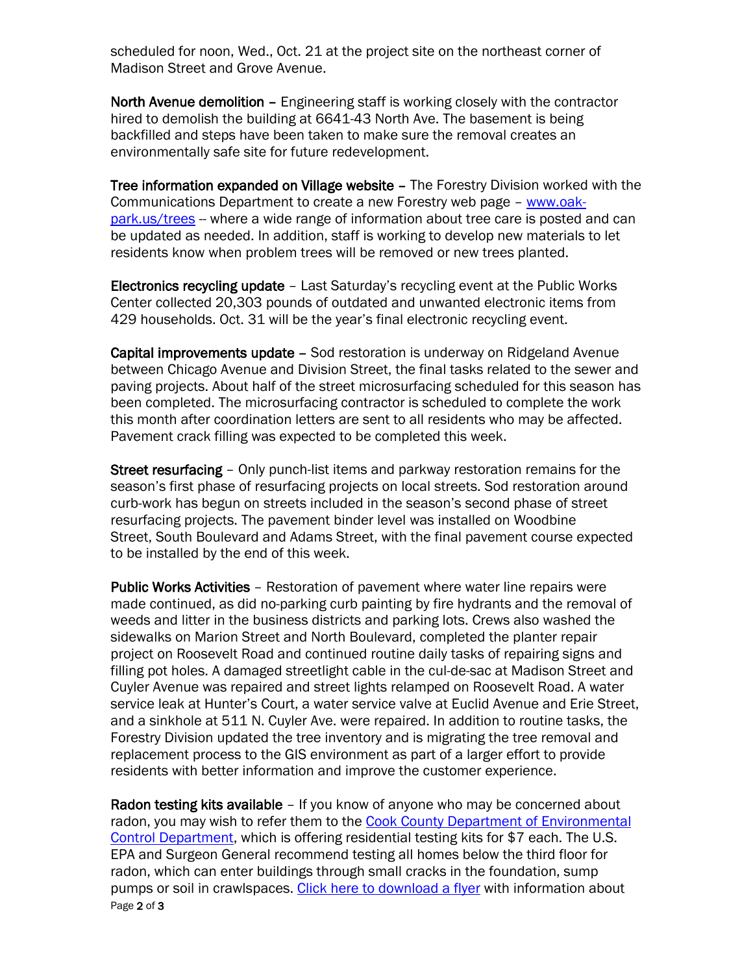scheduled for noon, Wed., Oct. 21 at the project site on the northeast corner of Madison Street and Grove Avenue.

North Avenue demolition - Engineering staff is working closely with the contractor hired to demolish the building at 6641-43 North Ave. The basement is being backfilled and steps have been taken to make sure the removal creates an environmentally safe site for future redevelopment.

Tree information expanded on Village website – The Forestry Division worked with the Communications Department to create a new Forestry web page - [www.oak](http://www.oak-park.us/trees)[park.us/trees](http://www.oak-park.us/trees) -- where a wide range of information about tree care is posted and can be updated as needed. In addition, staff is working to develop new materials to let residents know when problem trees will be removed or new trees planted.

Electronics recycling update – Last Saturday's recycling event at the Public Works Center collected 20,303 pounds of outdated and unwanted electronic items from 429 households. Oct. 31 will be the year's final electronic recycling event.

Capital improvements update – Sod restoration is underway on Ridgeland Avenue between Chicago Avenue and Division Street, the final tasks related to the sewer and paving projects. About half of the street microsurfacing scheduled for this season has been completed. The microsurfacing contractor is scheduled to complete the work this month after coordination letters are sent to all residents who may be affected. Pavement crack filling was expected to be completed this week.

Street resurfacing – Only punch-list items and parkway restoration remains for the season's first phase of resurfacing projects on local streets. Sod restoration around curb-work has begun on streets included in the season's second phase of street resurfacing projects. The pavement binder level was installed on Woodbine Street, South Boulevard and Adams Street, with the final pavement course expected to be installed by the end of this week.

Public Works Activities – Restoration of pavement where water line repairs were made continued, as did no-parking curb painting by fire hydrants and the removal of weeds and litter in the business districts and parking lots. Crews also washed the sidewalks on Marion Street and North Boulevard, completed the planter repair project on Roosevelt Road and continued routine daily tasks of repairing signs and filling pot holes. A damaged streetlight cable in the cul-de-sac at Madison Street and Cuyler Avenue was repaired and street lights relamped on Roosevelt Road. A water service leak at Hunter's Court, a water service valve at Euclid Avenue and Erie Street, and a sinkhole at 511 N. Cuyler Ave. were repaired. In addition to routine tasks, the Forestry Division updated the tree inventory and is migrating the tree removal and replacement process to the GIS environment as part of a larger effort to provide residents with better information and improve the customer experience.

Page 2 of 3 Radon testing kits available - If you know of anyone who may be concerned about radon, you may wish to refer them to the Cook County Department of Environmental [Control Department,](http://www.cookcountyil.gov/environmental-control-2/) which is offering residential testing kits for \$7 each. The U.S. EPA and Surgeon General recommend testing all homes below the third floor for radon, which can enter buildings through small cracks in the foundation, sump pumps or soil in crawlspaces. [Click here to download a flyer](http://www.oak-park.us/sites/default/files/456678891/Radon%20Flyer%202015.pdf) with information about